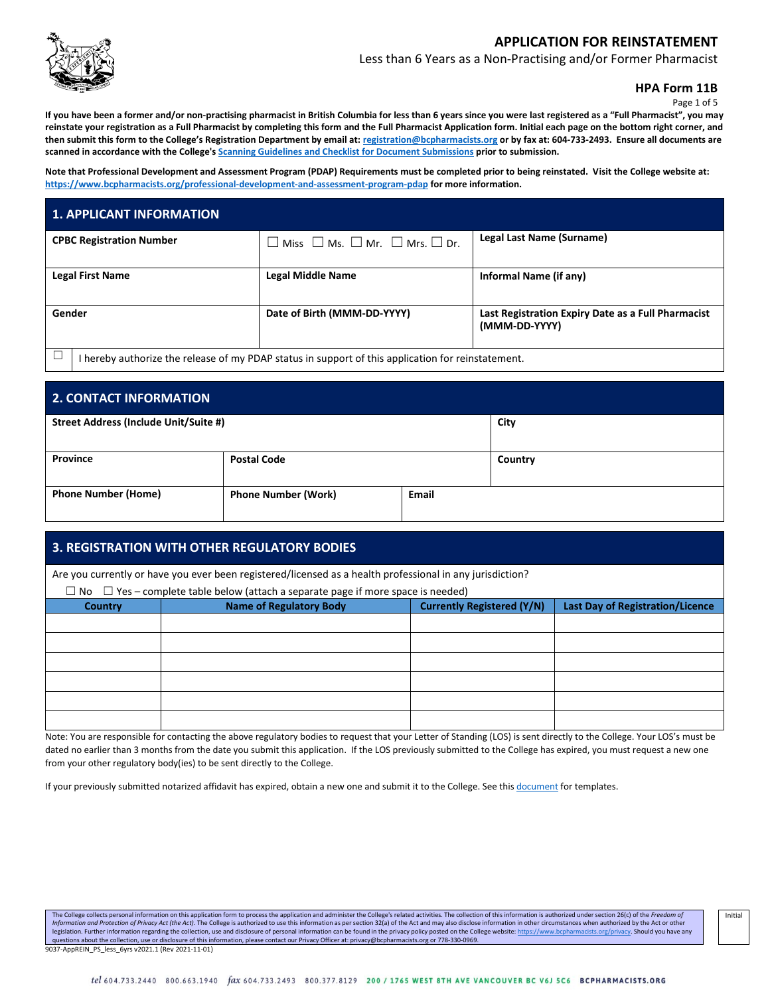

Less than 6 Years as a Non-Practising and/or Former Pharmacist

**HPA Form 11B**

Page 1 of 5

**If you have been a former and/or non-practising pharmacist in British Columbia for less than 6 years since you were last registered as a "Full Pharmacist", you may reinstate your registration as a Full Pharmacist by completing this form and the Full Pharmacist Application form. Initial each page on the bottom right corner, and then submit this form to the College's Registration Department by email at: [registration@bcpharmacists.org](mailto:registration@bcpharmacists.org) or by fax at: 604-733-2493. Ensure all documents are scanned in accordance with the College's [Scanning Guidelines and Checklist for Document Submissions](https://www.bcpharmacists.org/library/3_Registration_Licensure/5276-Scanning_Guidelines_Checklist_Document_Submissions_REG.pdf) prior to submission.**

**Note that Professional Development and Assessment Program (PDAP) Requirements must be completed prior to being reinstated. Visit the College website at: <https://www.bcpharmacists.org/professional-development-and-assessment-program-pdap> for more information.**

|        | <b>1. APPLICANT INFORMATION</b> |                                                                                                    |                                                                     |
|--------|---------------------------------|----------------------------------------------------------------------------------------------------|---------------------------------------------------------------------|
|        | <b>CPBC Registration Number</b> | $\square$ Miss $\square$ Ms. $\square$ Mr. $\square$ Mrs. $\square$ Dr.                            | Legal Last Name (Surname)                                           |
|        | <b>Legal First Name</b>         | <b>Legal Middle Name</b>                                                                           | Informal Name (if any)                                              |
| Gender |                                 | Date of Birth (MMM-DD-YYYY)                                                                        | Last Registration Expiry Date as a Full Pharmacist<br>(MMM-DD-YYYY) |
|        |                                 | I hereby authorize the release of my PDAP status in support of this application for reinstatement. |                                                                     |

| 2. CONTACT INFORMATION                                                   |                    |  |         |  |
|--------------------------------------------------------------------------|--------------------|--|---------|--|
| Street Address (Include Unit/Suite #)                                    |                    |  | City    |  |
| Province                                                                 | <b>Postal Code</b> |  | Country |  |
| <b>Phone Number (Home)</b><br><b>Phone Number (Work)</b><br><b>Email</b> |                    |  |         |  |

### **3. REGISTRATION WITH OTHER REGULATORY BODIES**

Are you currently or have you ever been registered/licensed as a health professional in any jurisdiction?

 $\Box$  No  $\Box$  Yes – complete table below (attach a separate page if more space is needed)

| $\Box$ The $\Box$ Test complete table below fattach a separate page in more space is necadar |                                |                                   |                                         |  |  |
|----------------------------------------------------------------------------------------------|--------------------------------|-----------------------------------|-----------------------------------------|--|--|
| <b>Country</b>                                                                               | <b>Name of Regulatory Body</b> | <b>Currently Registered (Y/N)</b> | <b>Last Day of Registration/Licence</b> |  |  |
|                                                                                              |                                |                                   |                                         |  |  |
|                                                                                              |                                |                                   |                                         |  |  |
|                                                                                              |                                |                                   |                                         |  |  |
|                                                                                              |                                |                                   |                                         |  |  |
|                                                                                              |                                |                                   |                                         |  |  |
|                                                                                              |                                |                                   |                                         |  |  |

Note: You are responsible for contacting the above regulatory bodies to request that your Letter of Standing (LOS) is sent directly to the College. Your LOS's must be dated no earlier than 3 months from the date you submit this application. If the LOS previously submitted to the College has expired, you must request a new one from your other regulatory body(ies) to be sent directly to the College.

If your previously submitted notarized affidavit has expired, obtain a new one and submit it to the College. See this [document](http://library.bcpharmacists.org/3_Registration_Licensure/5147-Notarized_Affidavit_Samples.pdf) for templates.

The College collects personal information on this application form to process the application and administer the College's related activities. The collection of this information is authorized under section 26(c) of the Fre Information and Protection of Privacy Act (the Act). The College is authorized to use this information as per section 32(a) of the Act and may also disclose information in other circumstances when authorized by the Act or legislation. Further information regarding the collection, use and disclosure of personal information can be found in the privacy policy posted on the College website: <u>https://www.bcpharmacists.org/privacy</u>. Should you ha 9037-AppREIN\_PS\_less\_6yrs v2021.1 (Rev 2021-11-01)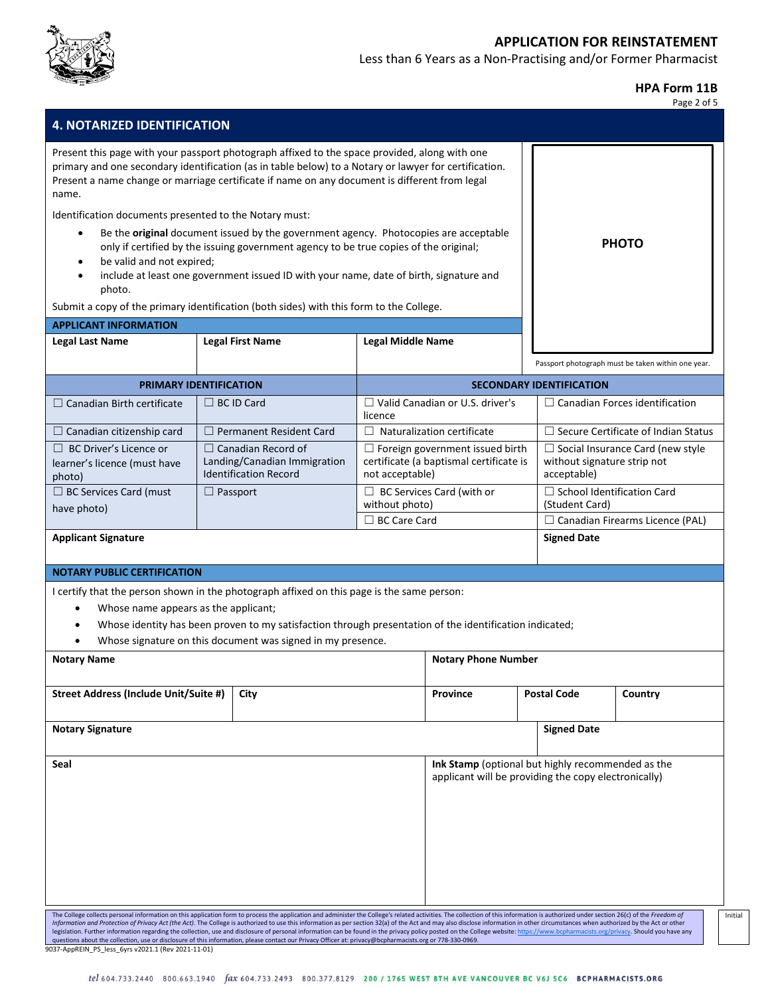

Less than 6 Years as a Non-Practising and/or Former Pharmacist

**HPA Form 11B**

| <b>4. NOTARIZED IDENTIFICATION</b>                                                                                                                                            |                                                                                                                                                                                                                                                                                                                                                                                                                                                                                                                                                                                                                                                                                                                                                                                                                                                               |                                                                                                      |                                                                                                           |                                                                                       | Page 2 of 5                                        |
|-------------------------------------------------------------------------------------------------------------------------------------------------------------------------------|---------------------------------------------------------------------------------------------------------------------------------------------------------------------------------------------------------------------------------------------------------------------------------------------------------------------------------------------------------------------------------------------------------------------------------------------------------------------------------------------------------------------------------------------------------------------------------------------------------------------------------------------------------------------------------------------------------------------------------------------------------------------------------------------------------------------------------------------------------------|------------------------------------------------------------------------------------------------------|-----------------------------------------------------------------------------------------------------------|---------------------------------------------------------------------------------------|----------------------------------------------------|
| name.<br>Identification documents presented to the Notary must:<br>$\bullet$<br>be valid and not expired;<br>$\bullet$<br>$\bullet$<br>photo.<br><b>APPLICANT INFORMATION</b> | Present this page with your passport photograph affixed to the space provided, along with one<br>primary and one secondary identification (as in table below) to a Notary or lawyer for certification.<br>Present a name change or marriage certificate if name on any document is different from legal<br>Be the original document issued by the government agency. Photocopies are acceptable<br>only if certified by the issuing government agency to be true copies of the original;<br>include at least one government issued ID with your name, date of birth, signature and<br>Submit a copy of the primary identification (both sides) with this form to the College.                                                                                                                                                                                 |                                                                                                      |                                                                                                           |                                                                                       | <b>PHOTO</b>                                       |
| <b>Legal Last Name</b>                                                                                                                                                        | <b>Legal First Name</b>                                                                                                                                                                                                                                                                                                                                                                                                                                                                                                                                                                                                                                                                                                                                                                                                                                       | <b>Legal Middle Name</b>                                                                             |                                                                                                           |                                                                                       |                                                    |
|                                                                                                                                                                               |                                                                                                                                                                                                                                                                                                                                                                                                                                                                                                                                                                                                                                                                                                                                                                                                                                                               |                                                                                                      |                                                                                                           |                                                                                       | Passport photograph must be taken within one year. |
|                                                                                                                                                                               | PRIMARY IDENTIFICATION                                                                                                                                                                                                                                                                                                                                                                                                                                                                                                                                                                                                                                                                                                                                                                                                                                        |                                                                                                      |                                                                                                           | <b>SECONDARY IDENTIFICATION</b>                                                       |                                                    |
| $\Box$ Canadian Birth certificate                                                                                                                                             | $\Box$ BC ID Card                                                                                                                                                                                                                                                                                                                                                                                                                                                                                                                                                                                                                                                                                                                                                                                                                                             | licence                                                                                              | $\Box$ Valid Canadian or U.S. driver's                                                                    |                                                                                       | $\Box$ Canadian Forces identification              |
| $\Box$ Canadian citizenship card                                                                                                                                              | $\Box$ Permanent Resident Card                                                                                                                                                                                                                                                                                                                                                                                                                                                                                                                                                                                                                                                                                                                                                                                                                                | $\Box$ Naturalization certificate                                                                    |                                                                                                           |                                                                                       | $\Box$ Secure Certificate of Indian Status         |
| $\Box$ BC Driver's Licence or<br>learner's licence (must have<br>photo)                                                                                                       | $\Box$ Canadian Record of<br>Landing/Canadian Immigration<br><b>Identification Record</b>                                                                                                                                                                                                                                                                                                                                                                                                                                                                                                                                                                                                                                                                                                                                                                     | $\Box$ Foreign government issued birth<br>certificate (a baptismal certificate is<br>not acceptable) |                                                                                                           | $\Box$ Social Insurance Card (new style<br>without signature strip not<br>acceptable) |                                                    |
| □ BC Services Card (must                                                                                                                                                      | $\Box$ Passport                                                                                                                                                                                                                                                                                                                                                                                                                                                                                                                                                                                                                                                                                                                                                                                                                                               | $\Box$ BC Services Card (with or<br>without photo)                                                   |                                                                                                           | (Student Card)                                                                        | $\Box$ School Identification Card                  |
| have photo)                                                                                                                                                                   |                                                                                                                                                                                                                                                                                                                                                                                                                                                                                                                                                                                                                                                                                                                                                                                                                                                               | $\Box$ BC Care Card                                                                                  |                                                                                                           |                                                                                       | $\Box$ Canadian Firearms Licence (PAL)             |
| <b>Applicant Signature</b>                                                                                                                                                    |                                                                                                                                                                                                                                                                                                                                                                                                                                                                                                                                                                                                                                                                                                                                                                                                                                                               |                                                                                                      |                                                                                                           | <b>Signed Date</b>                                                                    |                                                    |
| <b>NOTARY PUBLIC CERTIFICATION</b><br>Whose name appears as the applicant;<br>$\bullet$                                                                                       | I certify that the person shown in the photograph affixed on this page is the same person:<br>Whose identity has been proven to my satisfaction through presentation of the identification indicated;<br>Whose signature on this document was signed in my presence.                                                                                                                                                                                                                                                                                                                                                                                                                                                                                                                                                                                          |                                                                                                      |                                                                                                           |                                                                                       |                                                    |
| <b>Notary Name</b>                                                                                                                                                            |                                                                                                                                                                                                                                                                                                                                                                                                                                                                                                                                                                                                                                                                                                                                                                                                                                                               |                                                                                                      | <b>Notary Phone Number</b>                                                                                |                                                                                       |                                                    |
|                                                                                                                                                                               |                                                                                                                                                                                                                                                                                                                                                                                                                                                                                                                                                                                                                                                                                                                                                                                                                                                               |                                                                                                      |                                                                                                           |                                                                                       |                                                    |
| Street Address (Include Unit/Suite #)                                                                                                                                         | City                                                                                                                                                                                                                                                                                                                                                                                                                                                                                                                                                                                                                                                                                                                                                                                                                                                          |                                                                                                      | <b>Province</b>                                                                                           | <b>Postal Code</b>                                                                    | Country                                            |
| <b>Notary Signature</b>                                                                                                                                                       |                                                                                                                                                                                                                                                                                                                                                                                                                                                                                                                                                                                                                                                                                                                                                                                                                                                               |                                                                                                      |                                                                                                           | <b>Signed Date</b>                                                                    |                                                    |
| Seal                                                                                                                                                                          |                                                                                                                                                                                                                                                                                                                                                                                                                                                                                                                                                                                                                                                                                                                                                                                                                                                               |                                                                                                      | Ink Stamp (optional but highly recommended as the<br>applicant will be providing the copy electronically) |                                                                                       |                                                    |
| 9037-AppREIN PS less 6yrs v2021.1 (Rev 2021-11-01)                                                                                                                            | The College collects personal information on this application form to process the application and administer the College's related activities. The collection of this information is authorized under section 26(c) of the Fre<br>Information and Protection of Privacy Act (the Act). The College is authorized to use this information as per section 32(a) of the Act and may also disclose information in other circumstances when authorized by the Act or<br>legislation. Further information regarding the collection, use and disclosure of personal information can be found in the privacy policy posted on the College website: https://www.bcpharmacists.org/privacy. Should you have<br>questions about the collection, use or disclosure of this information, please contact our Privacy Officer at: privacy@bcpharmacists.org or 778-330-0969. |                                                                                                      |                                                                                                           |                                                                                       |                                                    |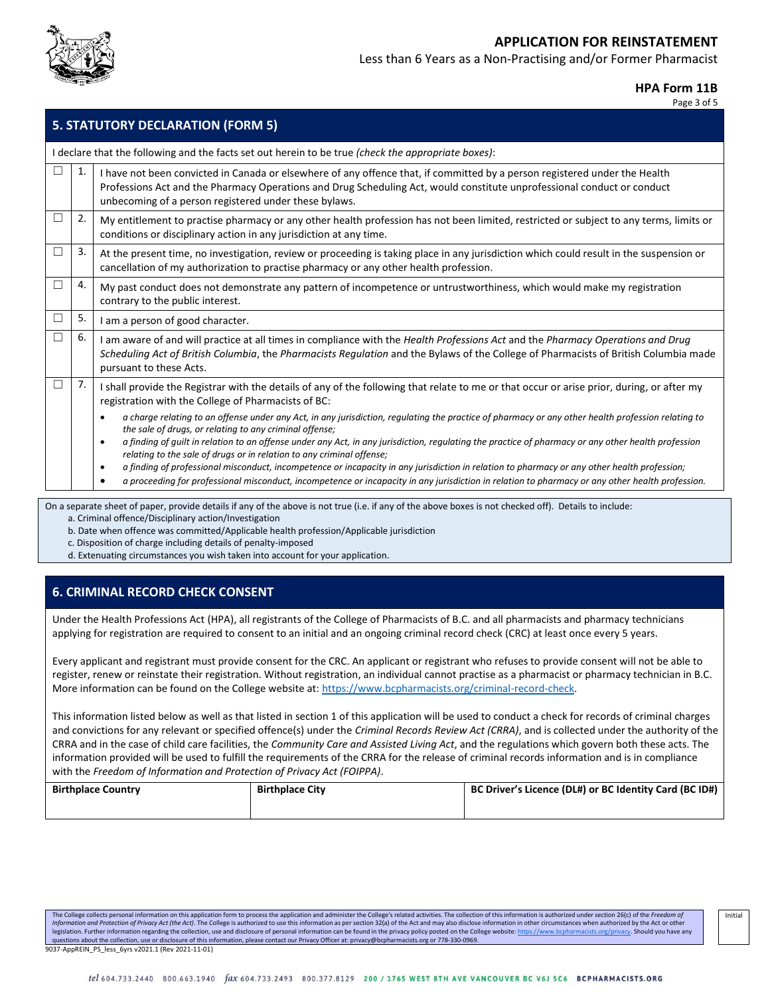

Less than 6 Years as a Non-Practising and/or Former Pharmacist

#### **HPA Form 11B**

Page 3 of 5

|        |    | <b>5. STATUTORY DECLARATION (FORM 5)</b>                                                                                                                                                                                                                                                                                                                                                                                                                                                                                                                                                                                                                                                                                                                                                      |
|--------|----|-----------------------------------------------------------------------------------------------------------------------------------------------------------------------------------------------------------------------------------------------------------------------------------------------------------------------------------------------------------------------------------------------------------------------------------------------------------------------------------------------------------------------------------------------------------------------------------------------------------------------------------------------------------------------------------------------------------------------------------------------------------------------------------------------|
|        |    | I declare that the following and the facts set out herein to be true (check the appropriate boxes):                                                                                                                                                                                                                                                                                                                                                                                                                                                                                                                                                                                                                                                                                           |
| $\Box$ | 1. | I have not been convicted in Canada or elsewhere of any offence that, if committed by a person registered under the Health<br>Professions Act and the Pharmacy Operations and Drug Scheduling Act, would constitute unprofessional conduct or conduct<br>unbecoming of a person registered under these bylaws.                                                                                                                                                                                                                                                                                                                                                                                                                                                                                |
| ⊔      | 2. | My entitlement to practise pharmacy or any other health profession has not been limited, restricted or subject to any terms, limits or<br>conditions or disciplinary action in any jurisdiction at any time.                                                                                                                                                                                                                                                                                                                                                                                                                                                                                                                                                                                  |
| □      | 3. | At the present time, no investigation, review or proceeding is taking place in any jurisdiction which could result in the suspension or<br>cancellation of my authorization to practise pharmacy or any other health profession.                                                                                                                                                                                                                                                                                                                                                                                                                                                                                                                                                              |
|        | 4. | My past conduct does not demonstrate any pattern of incompetence or untrustworthiness, which would make my registration<br>contrary to the public interest.                                                                                                                                                                                                                                                                                                                                                                                                                                                                                                                                                                                                                                   |
| □      | 5. | I am a person of good character.                                                                                                                                                                                                                                                                                                                                                                                                                                                                                                                                                                                                                                                                                                                                                              |
| □      | 6. | I am aware of and will practice at all times in compliance with the Health Professions Act and the Pharmacy Operations and Drug<br>Scheduling Act of British Columbia, the Pharmacists Regulation and the Bylaws of the College of Pharmacists of British Columbia made<br>pursuant to these Acts.                                                                                                                                                                                                                                                                                                                                                                                                                                                                                            |
| $\Box$ | 7. | I shall provide the Registrar with the details of any of the following that relate to me or that occur or arise prior, during, or after my<br>registration with the College of Pharmacists of BC:                                                                                                                                                                                                                                                                                                                                                                                                                                                                                                                                                                                             |
|        |    | a charge relating to an offense under any Act, in any jurisdiction, regulating the practice of pharmacy or any other health profession relating to<br>$\bullet$<br>the sale of drugs, or relating to any criminal offense;<br>a finding of quilt in relation to an offense under any Act, in any jurisdiction, requlating the practice of pharmacy or any other health profession<br>$\bullet$<br>relating to the sale of drugs or in relation to any criminal offense;<br>a finding of professional misconduct, incompetence or incapacity in any jurisdiction in relation to pharmacy or any other health profession;<br>$\bullet$<br>a proceeding for professional misconduct, incompetence or incapacity in any jurisdiction in relation to pharmacy or any other health profession.<br>٠ |

On a separate sheet of paper, provide details if any of the above is not true (i.e. if any of the above boxes is not checked off). Details to include: a. Criminal offence/Disciplinary action/Investigation

b. Date when offence was committed/Applicable health profession/Applicable jurisdiction

c. Disposition of charge including details of penalty-imposed

d. Extenuating circumstances you wish taken into account for your application.

### **6. CRIMINAL RECORD CHECK CONSENT**

Under the Health Professions Act (HPA), all registrants of the College of Pharmacists of B.C. and all pharmacists and pharmacy technicians applying for registration are required to consent to an initial and an ongoing criminal record check (CRC) at least once every 5 years.

Every applicant and registrant must provide consent for the CRC. An applicant or registrant who refuses to provide consent will not be able to register, renew or reinstate their registration. Without registration, an individual cannot practise as a pharmacist or pharmacy technician in B.C. More information can be found on the College website at: [https://www.bcpharmacists.org/criminal-record-check.](https://www.bcpharmacists.org/criminal-record-check)

This information listed below as well as that listed in section 1 of this application will be used to conduct a check for records of criminal charges and convictions for any relevant or specified offence(s) under the *Criminal Records Review Act (CRRA)*, and is collected under the authority of the CRRA and in the case of child care facilities, the *Community Care and Assisted Living Act*, and the regulations which govern both these acts. The information provided will be used to fulfill the requirements of the CRRA for the release of criminal records information and is in compliance with the *Freedom of Information and Protection of Privacy Act (FOIPPA)*.

| <b>Birthplace Country</b> | <b>Birthplace City</b> | BC Driver's Licence (DL#) or BC Identity Card (BC ID#) |
|---------------------------|------------------------|--------------------------------------------------------|
|                           |                        |                                                        |

The College collects personal information on this application form to process the application and administer the College's related activities. The collection of this information is authorized under section 26(c) of the Fre Information and Protection of Privacy Act (the Act). The College is authorized to use this information as per section 32(a) of the Act and may also disclose information in other circumstances when authorized by the Act or legislation. Further information regarding the collection, use and disclosure of personal information can be found in the privacy policy posted on the College website: <u>https://www.bcpharmacists.org/privacy</u>. Should you ha 9037-AppREIN\_PS\_less\_6yrs v2021.1 (Rev 2021-11-01)

Initial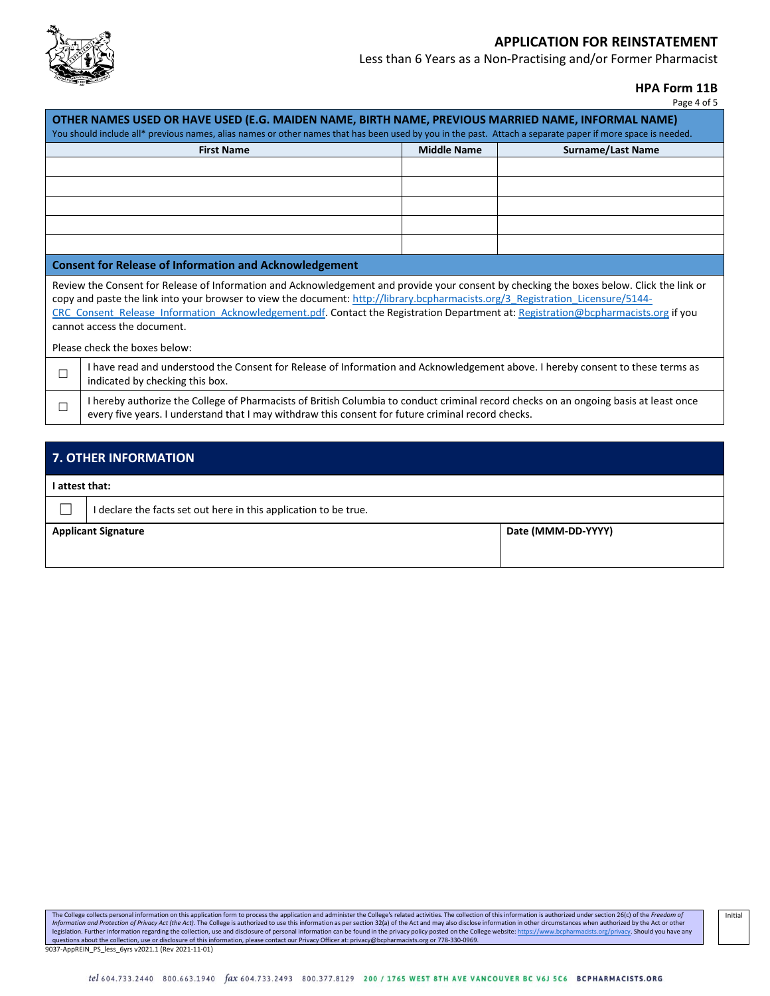

Less than 6 Years as a Non-Practising and/or Former Pharmacist

**HPA Form 11B**

| rage 4 of |  |
|-----------|--|
|-----------|--|

|        | OTHER NAMES USED OR HAVE USED (E.G. MAIDEN NAME, BIRTH NAME, PREVIOUS MARRIED NAME, INFORMAL NAME)<br>You should include all* previous names, alias names or other names that has been used by you in the past. Attach a separate paper if more space is needed.                                                                                                                                                                                                                   |                    |                          |
|--------|------------------------------------------------------------------------------------------------------------------------------------------------------------------------------------------------------------------------------------------------------------------------------------------------------------------------------------------------------------------------------------------------------------------------------------------------------------------------------------|--------------------|--------------------------|
|        | <b>First Name</b>                                                                                                                                                                                                                                                                                                                                                                                                                                                                  | <b>Middle Name</b> | <b>Surname/Last Name</b> |
|        |                                                                                                                                                                                                                                                                                                                                                                                                                                                                                    |                    |                          |
|        |                                                                                                                                                                                                                                                                                                                                                                                                                                                                                    |                    |                          |
|        |                                                                                                                                                                                                                                                                                                                                                                                                                                                                                    |                    |                          |
|        |                                                                                                                                                                                                                                                                                                                                                                                                                                                                                    |                    |                          |
|        |                                                                                                                                                                                                                                                                                                                                                                                                                                                                                    |                    |                          |
|        | <b>Consent for Release of Information and Acknowledgement</b>                                                                                                                                                                                                                                                                                                                                                                                                                      |                    |                          |
|        | Review the Consent for Release of Information and Acknowledgement and provide your consent by checking the boxes below. Click the link or<br>copy and paste the link into your browser to view the document: http://library.bcpharmacists.org/3 Registration Licensure/5144-<br>CRC Consent Release Information Acknowledgement.pdf. Contact the Registration Department at: Registration@bcpharmacists.org if you<br>cannot access the document.<br>Please check the boxes below: |                    |                          |
| $\Box$ | I have read and understood the Consent for Release of Information and Acknowledgement above. I hereby consent to these terms as<br>indicated by checking this box.                                                                                                                                                                                                                                                                                                                 |                    |                          |
| П      | I hereby authorize the College of Pharmacists of British Columbia to conduct criminal record checks on an ongoing basis at least once<br>every five years. I understand that I may withdraw this consent for future criminal record checks.                                                                                                                                                                                                                                        |                    |                          |
|        |                                                                                                                                                                                                                                                                                                                                                                                                                                                                                    |                    |                          |
|        | 7. OTHER INFORMATION                                                                                                                                                                                                                                                                                                                                                                                                                                                               |                    |                          |
|        | I attest that:                                                                                                                                                                                                                                                                                                                                                                                                                                                                     |                    |                          |
|        | I declare the facts set out here in this application to be true.                                                                                                                                                                                                                                                                                                                                                                                                                   |                    |                          |

| <b>Applicant Signature</b> | Date (MMM-DD-YYYY) |
|----------------------------|--------------------|
|----------------------------|--------------------|

The College collects personal information on this application form to process the application and administer the College's related activities. The collection of this information is authorized under section 26(c) of the *Fr* 9037-AppREIN\_PS\_less\_6yrs v2021.1 (Rev 2021-11-01)